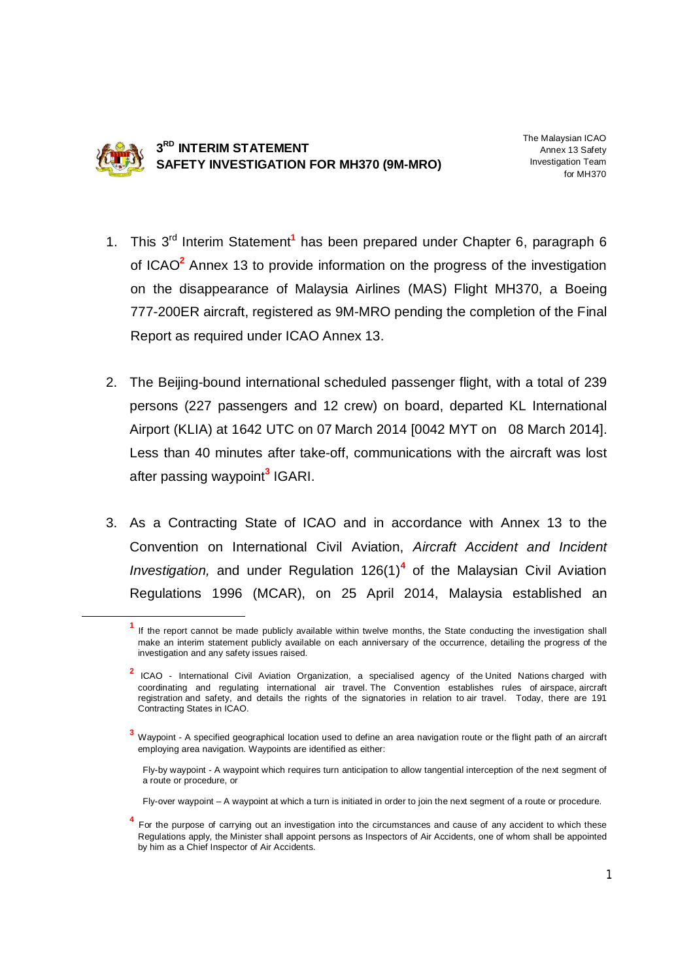

**.** 

**3 RD INTERIM STATEMENT SAFETY INVESTIGATION FOR MH370 (9M-MRO)** The Malaysian ICAO Annex 13 Safety Investigation Team for MH370

- 1. This 3<sup>rd</sup> Interim Statement<sup>1</sup> has been prepared under Chapter 6, paragraph 6 of ICAO**<sup>2</sup>** Annex 13 to provide information on the progress of the investigation on the disappearance of Malaysia Airlines (MAS) Flight MH370, a Boeing 777-200ER aircraft, registered as 9M-MRO pending the completion of the Final Report as required under ICAO Annex 13.
- 2. The Beijing-bound international scheduled passenger flight, with a total of 239 persons (227 passengers and 12 crew) on board, departed KL International Airport (KLIA) at 1642 UTC on 07 March 2014 [0042 MYT on 08 March 2014]. Less than 40 minutes after take-off, communications with the aircraft was lost after passing waypoint**<sup>3</sup>** IGARI.
- 3. As a Contracting State of ICAO and in accordance with Annex 13 to the Convention on International Civil Aviation, *Aircraft Accident and Incident Investigation,* and under Regulation 126(1)**<sup>4</sup>** of the Malaysian Civil Aviation Regulations 1996 (MCAR), on 25 April 2014, Malaysia established an

- Fly-by waypoint A waypoint which requires turn anticipation to allow tangential interception of the next segment of a route or procedure, or
- Fly-over waypoint A waypoint at which a turn is initiated in order to join the next segment of a route or procedure.
- **4** For the purpose of carrying out an investigation into the circumstances and cause of any accident to which these Regulations apply, the Minister shall appoint persons as Inspectors of Air Accidents, one of whom shall be appointed by him as a Chief Inspector of Air Accidents.

**<sup>1</sup>** If the report cannot be made publicly available within twelve months, the State conducting the investigation shall make an interim statement publicly available on each anniversary of the occurrence, detailing the progress of the investigation and any safety issues raised.

**<sup>2</sup>** ICAO - International Civil Aviation Organization, a specialised agency of the United Nations charged with coordinating and regulating international air travel. The Convention establishes rules of airspace, aircraft registration and safety, and details the rights of the signatories in relation to air travel. Today, there are 191 Contracting States in ICAO.

**<sup>3</sup>** Waypoint - A specified geographical location used to define an area navigation route or the flight path of an aircraft employing area navigation. Waypoints are identified as either: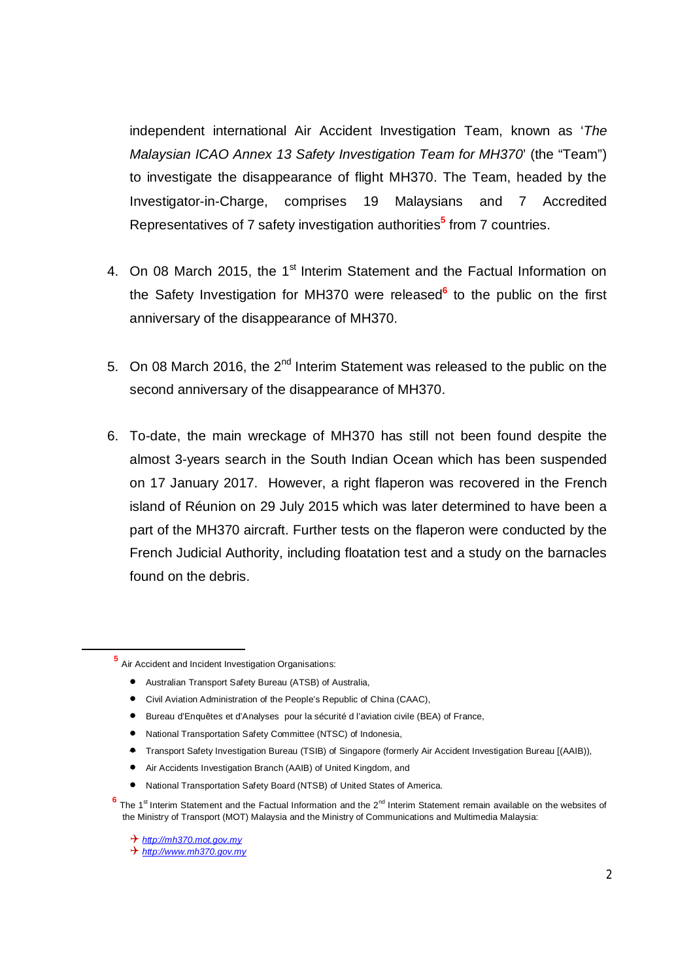independent international Air Accident Investigation Team, known as '*The Malaysian ICAO Annex 13 Safety Investigation Team for MH370*' (the "Team") to investigate the disappearance of flight MH370. The Team, headed by the Investigator-in-Charge, comprises 19 Malaysians and 7 Accredited Representatives of 7 safety investigation authorities**<sup>5</sup>** from 7 countries.

- 4. On 08 March 2015, the 1<sup>st</sup> Interim Statement and the Factual Information on the Safety Investigation for MH370 were released**<sup>6</sup>** to the public on the first anniversary of the disappearance of MH370.
- 5. On 08 March 2016, the  $2^{nd}$  Interim Statement was released to the public on the second anniversary of the disappearance of MH370.
- 6. To-date, the main wreckage of MH370 has still not been found despite the almost 3-years search in the South Indian Ocean which has been suspended on 17 January 2017. However, a right flaperon was recovered in the French island of Réunion on 29 July 2015 which was later determined to have been a part of the MH370 aircraft. Further tests on the flaperon were conducted by the French Judicial Authority, including floatation test and a study on the barnacles found on the debris.

**5** Air Accident and Incident Investigation Organisations:

- Australian Transport Safety Bureau (ATSB) of Australia,
- Civil Aviation Administration of the People's Republic of China (CAAC),
- Bureau d'Enquêtes et d'Analyses pour la sécurité d l'aviation civile (BEA) of France,
- National Transportation Safety Committee (NTSC) of Indonesia,
- Transport Safety Investigation Bureau (TSIB) of Singapore (formerly Air Accident Investigation Bureau [(AAIB)),
- Air Accidents Investigation Branch (AAIB) of United Kingdom, and
- National Transportation Safety Board (NTSB) of United States of America.
- <sup>6</sup> The 1<sup>st</sup> Interim Statement and the Factual Information and the 2<sup>nd</sup> Interim Statement remain available on the websites of the Ministry of Transport (MOT) Malaysia and the Ministry of Communications and Multimedia Malaysia:
	- *http://mh370.mot.gov.my*

-

*http://www.mh370.gov.my*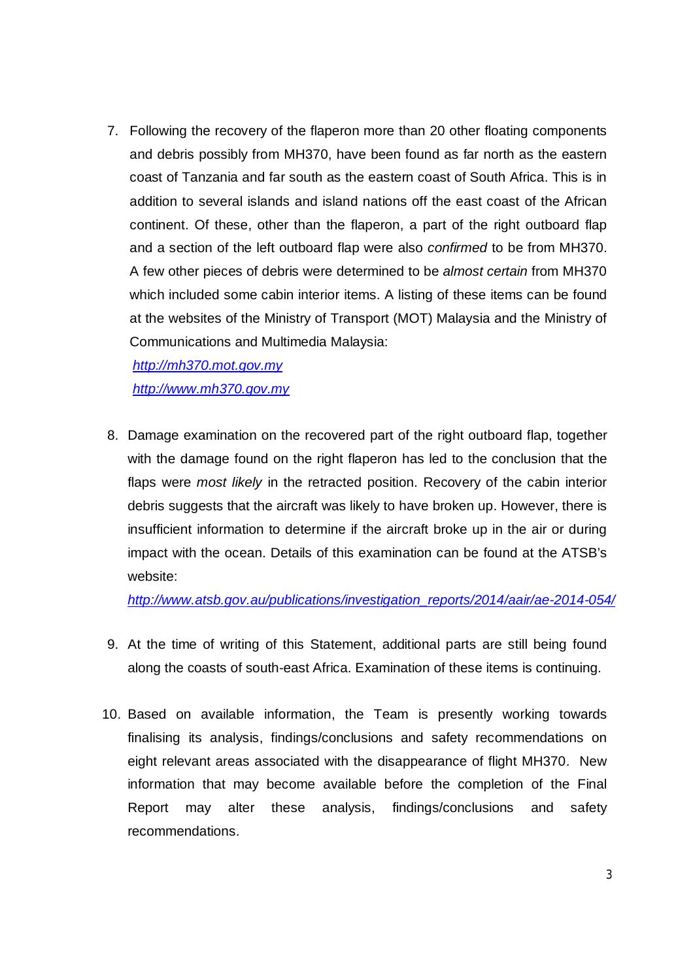7. Following the recovery of the flaperon more than 20 other floating components and debris possibly from MH370, have been found as far north as the eastern coast of Tanzania and far south as the eastern coast of South Africa. This is in addition to several islands and island nations off the east coast of the African continent. Of these, other than the flaperon, a part of the right outboard flap and a section of the left outboard flap were also *confirmed* to be from MH370. A few other pieces of debris were determined to be *almost certain* from MH370 which included some cabin interior items. A listing of these items can be found at the websites of the Ministry of Transport (MOT) Malaysia and the Ministry of Communications and Multimedia Malaysia:

*http://mh370.mot.gov.my http://www.mh370.gov.my*

8. Damage examination on the recovered part of the right outboard flap, together with the damage found on the right flaperon has led to the conclusion that the flaps were *most likely* in the retracted position. Recovery of the cabin interior debris suggests that the aircraft was likely to have broken up. However, there is insufficient information to determine if the aircraft broke up in the air or during impact with the ocean. Details of this examination can be found at the ATSB's website:

*http://www.atsb.gov.au/publications/investigation\_reports/2014/aair/ae-2014-054/*

- 9. At the time of writing of this Statement, additional parts are still being found along the coasts of south-east Africa. Examination of these items is continuing.
- 10. Based on available information, the Team is presently working towards finalising its analysis, findings/conclusions and safety recommendations on eight relevant areas associated with the disappearance of flight MH370. New information that may become available before the completion of the Final Report may alter these analysis, findings/conclusions and safety recommendations.